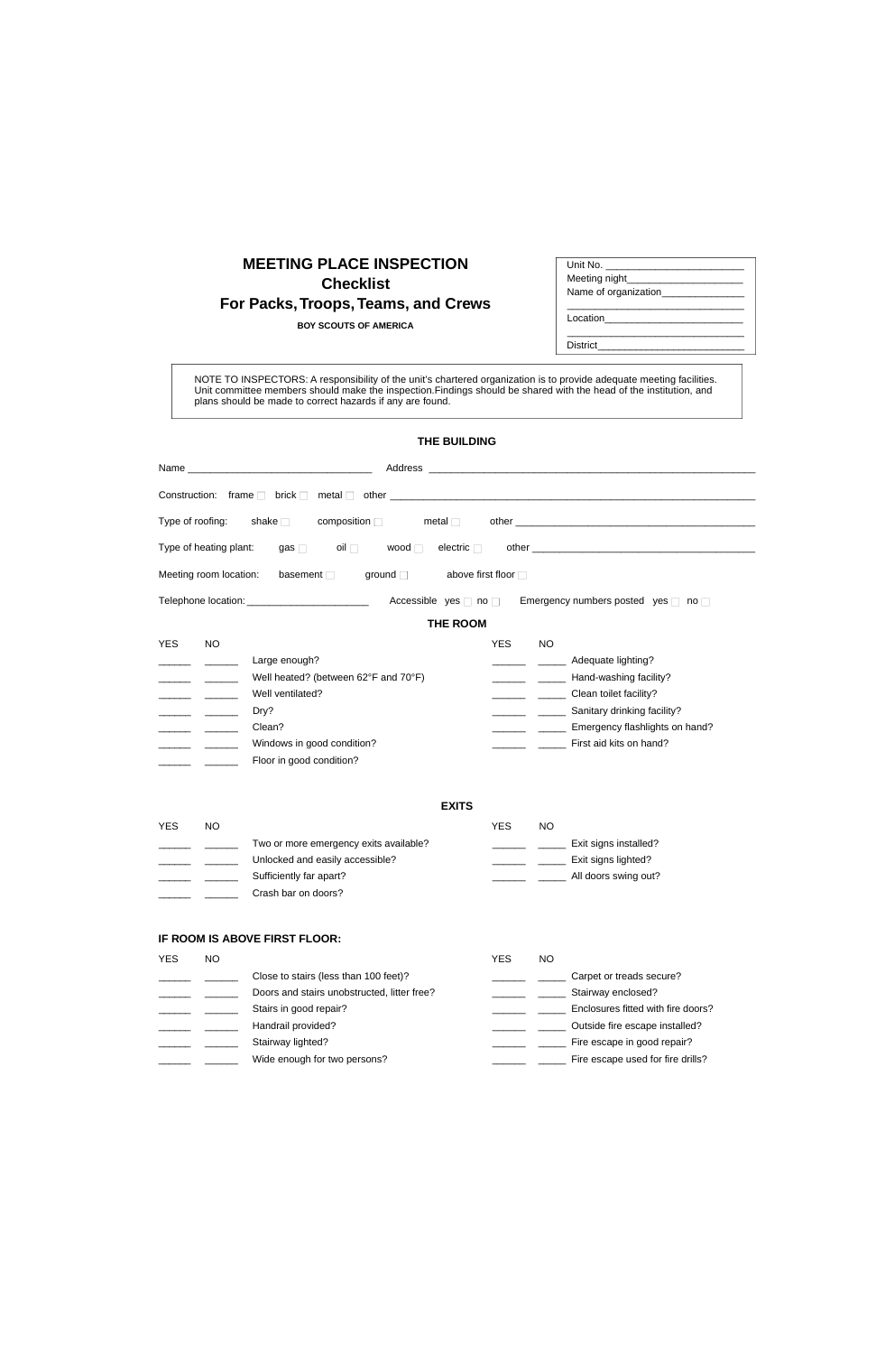## **MEETING PLACE INSPECTION Checklist For Packs,Troops, Teams, and Crews**

**BOY SCOUTS OF AMERICA**

| Unit No.<br>Meeting night____<br>Name of organization_______ |
|--------------------------------------------------------------|
| Location                                                     |

District

NOTE TO INSPECTORS: A responsibility of the unit's chartered organization is to provide adequate meeting facilities. Unit committee members should make the inspection.Findings should be shared with the head of the institution, and plans should be made to correct hazards if any are found.

## **THE BUILDING**

| Name<br><u> 1989 - Johann John Stone, mars et al. (</u> † 1918)                                                                                                                  |                                         |                         |                                                                                                                                                                    |
|----------------------------------------------------------------------------------------------------------------------------------------------------------------------------------|-----------------------------------------|-------------------------|--------------------------------------------------------------------------------------------------------------------------------------------------------------------|
| Construction: frame $\square$ brick $\square$                                                                                                                                    |                                         |                         |                                                                                                                                                                    |
| Type of roofing:<br>shake $\Box$<br>composition $\square$                                                                                                                        | metal $\square$                         |                         |                                                                                                                                                                    |
| Type of heating plant:<br>$\mathsf{oil} \ \Box$<br>gas $\square$                                                                                                                 | wood $\square$<br>electric $\square$    |                         |                                                                                                                                                                    |
| Meeting room location:<br>basement $\square$                                                                                                                                     | above first floor □<br>ground $\square$ |                         |                                                                                                                                                                    |
| Telephone location: ____________________________                                                                                                                                 | Accessible yes $\Box$ no $\Box$         |                         | Emergency numbers posted yes $\square$ no $\square$                                                                                                                |
|                                                                                                                                                                                  | <b>THE ROOM</b>                         |                         |                                                                                                                                                                    |
| <b>NO</b><br><b>YES</b><br>Large enough?<br>Well heated? (between 62°F and 70°F)<br>Well ventilated?<br>Dry?<br>Clean?<br>Windows in good condition?<br>Floor in good condition? |                                         | <b>YES</b><br><b>NO</b> | Adequate lighting?<br>Hand-washing facility?<br>Clean toilet facility?<br>Sanitary drinking facility?<br>Emergency flashlights on hand?<br>First aid kits on hand? |
|                                                                                                                                                                                  | <b>EXITS</b>                            |                         |                                                                                                                                                                    |
| <b>NO</b><br><b>YES</b><br>Two or more emergency exits available?<br>Unlocked and easily accessible?<br>Sufficiently far apart?<br>Crash bar on doors?                           |                                         | <b>YES</b><br><b>NO</b> | Exit signs installed?<br>Exit signs lighted?<br>All doors swing out?                                                                                               |
| IF ROOM IS ABOVE FIRST FLOOR:                                                                                                                                                    |                                         |                         |                                                                                                                                                                    |

| YES | NΟ |                                             | YES | NO                                 |
|-----|----|---------------------------------------------|-----|------------------------------------|
|     |    | Close to stairs (less than 100 feet)?       |     | Carpet or treads secure?           |
|     |    | Doors and stairs unobstructed, litter free? |     | Stairway enclosed?                 |
|     |    | Stairs in good repair?                      |     | Enclosures fitted with fire doors? |
|     |    | Handrail provided?                          |     | Outside fire escape installed?     |
|     |    | Stairway lighted?                           |     | Fire escape in good repair?        |
|     |    | Wide enough for two persons?                |     | Fire escape used for fire drills?  |
|     |    |                                             |     |                                    |